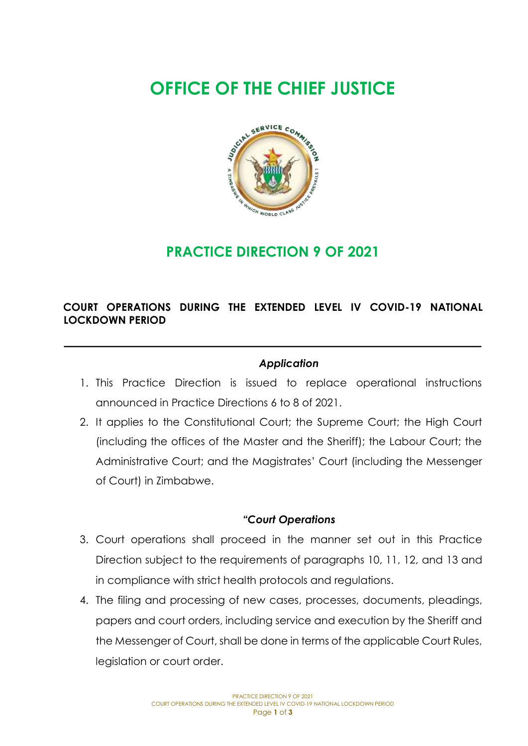# **OFFICE OF THE CHIEF JUSTICE**



# **PRACTICE DIRECTION 9 OF 2021**

## **COURT OPERATIONS DURING THE EXTENDED LEVEL IV COVID-19 NATIONAL LOCKDOWN PERIOD**

#### *Application*

- 1. This Practice Direction is issued to replace operational instructions announced in Practice Directions 6 to 8 of 2021.
- 2. It applies to the Constitutional Court; the Supreme Court; the High Court (including the offices of the Master and the Sheriff); the Labour Court; the Administrative Court; and the Magistrates' Court (including the Messenger of Court) in Zimbabwe.

#### *"Court Operations*

- 3. Court operations shall proceed in the manner set out in this Practice Direction subject to the requirements of paragraphs 10, 11, 12, and 13 and in compliance with strict health protocols and regulations.
- 4. The filing and processing of new cases, processes, documents, pleadings, papers and court orders, including service and execution by the Sheriff and the Messenger of Court, shall be done in terms of the applicable Court Rules, legislation or court order.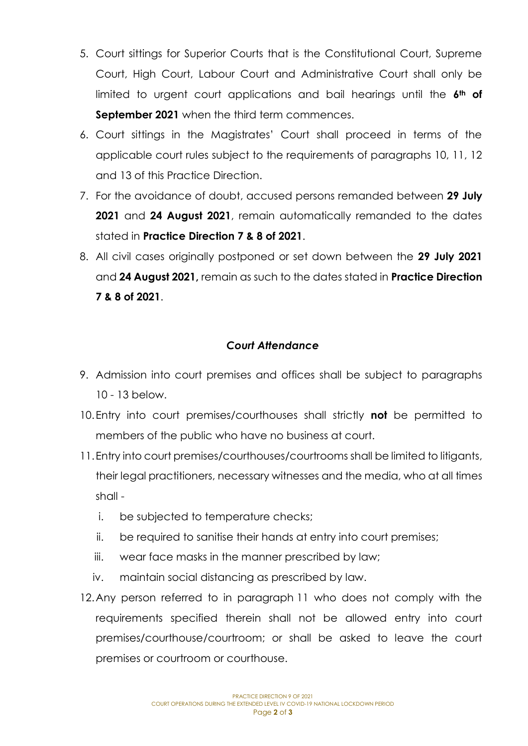- 5. Court sittings for Superior Courts that is the Constitutional Court, Supreme Court, High Court, Labour Court and Administrative Court shall only be limited to urgent court applications and bail hearings until the **6th of September 2021** when the third term commences.
- 6. Court sittings in the Magistrates' Court shall proceed in terms of the applicable court rules subject to the requirements of paragraphs 10, 11, 12 and 13 of this Practice Direction.
- 7. For the avoidance of doubt, accused persons remanded between **29 July 2021** and **24 August 2021**, remain automatically remanded to the dates stated in **Practice Direction 7 & 8 of 2021**.
- 8. All civil cases originally postponed or set down between the **29 July 2021** and **24 August 2021,** remain as such to the dates stated in **Practice Direction 7 & 8 of 2021**.

### *Court Attendance*

- 9. Admission into court premises and offices shall be subject to paragraphs 10 - 13 below.
- 10.Entry into court premises/courthouses shall strictly **not** be permitted to members of the public who have no business at court.
- 11.Entry into court premises/courthouses/courtrooms shall be limited to litigants, their legal practitioners, necessary witnesses and the media, who at all times shall
	- i. be subjected to temperature checks;
	- ii. be required to sanitise their hands at entry into court premises;
	- iii. wear face masks in the manner prescribed by law;
	- iv. maintain social distancing as prescribed by law.
- 12.Any person referred to in paragraph 11 who does not comply with the requirements specified therein shall not be allowed entry into court premises/courthouse/courtroom; or shall be asked to leave the court premises or courtroom or courthouse.